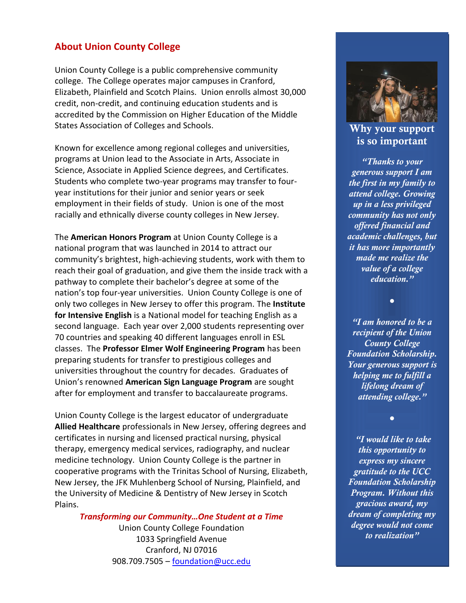### **About Union County College**

Union County College is a public comprehensive community college. The College operates major campuses in Cranford, Elizabeth, Plainfield and Scotch Plains. Union enrolls almost 30,000 credit, non-credit, and continuing education students and is accredited by the Commission on Higher Education of the Middle States Association of Colleges and Schools.

Known for excellence among regional colleges and universities, programs at Union lead to the Associate in Arts, Associate in Science, Associate in Applied Science degrees, and Certificates. Students who complete two-year programs may transfer to fouryear institutions for their junior and senior years or seek employment in their fields of study. Union is one of the most racially and ethnically diverse county colleges in New Jersey.

The **American Honors Program** at Union County College is a national program that was launched in 2014 to attract our community's brightest, high-achieving students, work with them to reach their goal of graduation, and give them the inside track with a pathway to complete their bachelor's degree at some of the nation's top four-year universities. Union County College is one of only two colleges in New Jersey to offer this program. The **Institute for Intensive English** is a National model for teaching English as a second language. Each year over 2,000 students representing over 70 countries and speaking 40 different languages enroll in ESL classes. The **Professor Elmer Wolf Engineering Program** has been preparing students for transfer to prestigious colleges and universities throughout the country for decades. Graduates of Union's renowned **American Sign Language Program** are sought after for employment and transfer to baccalaureate programs.

Union County College is the largest educator of undergraduate **Allied Healthcare** professionals in New Jersey, offering degrees and certificates in nursing and licensed practical nursing, physical therapy, emergency medical services, radiography, and nuclear medicine technology. Union County College is the partner in cooperative programs with the Trinitas School of Nursing, Elizabeth, New Jersey, the JFK Muhlenberg School of Nursing, Plainfield, and the University of Medicine & Dentistry of New Jersey in Scotch Plains.

*Transforming our Community…One Student at a Time*

Union County College Foundation 1033 Springfield Avenue Cranford, NJ 07016 908.709.7505 – [foundation@ucc.edu](mailto:foundation@ucc.edu)



**Why your support is so important**

*"Thanks to your generous support I am the first in my family to attend college. Growing up in a less privileged community has not only offered financial and academic challenges, but it has more importantly made me realize the value of a college education."*

*"I am honored to be a recipient of the Union County College Foundation Scholarship. Your generous support is helping me to fulfill a lifelong dream of attending college."*

*●*

*●*

*"I would like to take this opportunity to express my sincere gratitude to the UCC Foundation Scholarship Program. Without this gracious award, my dream of completing my degree would not come to realization"*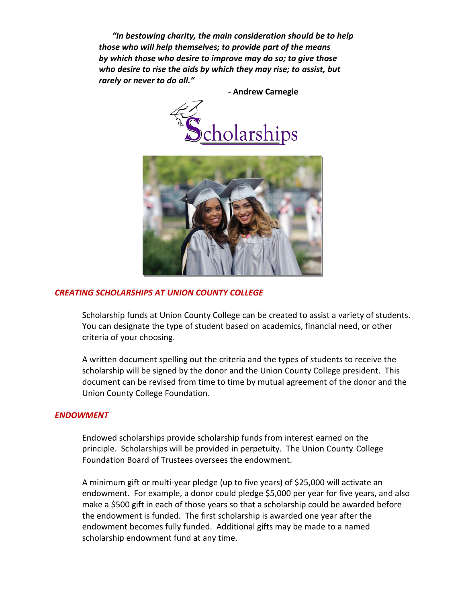*"In bestowing charity, the main consideration should be to help those who will help themselves; to provide part of the means by which those who desire to improve may do so; to give those who desire to rise the aids by which they may rise; to assist, but rarely or never to do all."*

 **- Andrew Carnegie**





#### *CREATING SCHOLARSHIPS AT UNION COUNTY COLLEGE*

Scholarship funds at Union County College can be created to assist a variety of students. You can designate the type of student based on academics, financial need, or other criteria of your choosing.

A written document spelling out the criteria and the types of students to receive the scholarship will be signed by the donor and the Union County College president. This document can be revised from time to time by mutual agreement of the donor and the Union County College Foundation.

#### *ENDOWMENT*

Endowed scholarships provide scholarship funds from interest earned on the principle. Scholarships will be provided in perpetuity. The Union County College Foundation Board of Trustees oversees the endowment.

A minimum gift or multi-year pledge (up to five years) of \$25,000 will activate an endowment. For example, a donor could pledge \$5,000 per year for five years, and also make a \$500 gift in each of those years so that a scholarship could be awarded before the endowment is funded. The first scholarship is awarded one year after the endowment becomes fully funded. Additional gifts may be made to a named scholarship endowment fund at any time.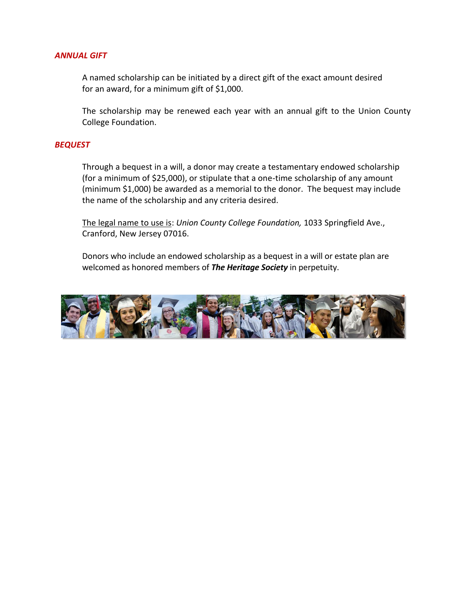#### *ANNUAL GIFT*

A named scholarship can be initiated by a direct gift of the exact amount desired for an award, for a minimum gift of \$1,000.

The scholarship may be renewed each year with an annual gift to the Union County College Foundation.

#### *BEQUEST*

Through a bequest in a will, a donor may create a testamentary endowed scholarship (for a minimum of \$25,000), or stipulate that a one-time scholarship of any amount (minimum \$1,000) be awarded as a memorial to the donor. The bequest may include the name of the scholarship and any criteria desired.

The legal name to use is: *Union County College Foundation,* 1033 Springfield Ave., Cranford, New Jersey 07016.

Donors who include an endowed scholarship as a bequest in a will or estate plan are welcomed as honored members of *The Heritage Society* in perpetuity.

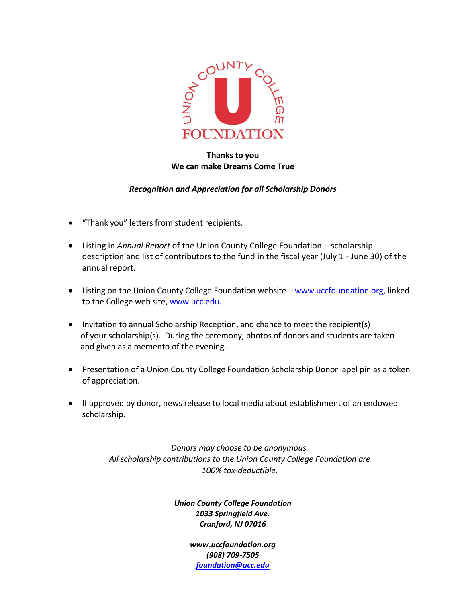

### **Thanks to you We can make Dreams Come True**

### *Recognition and Appreciation for all Scholarship Donors*

- "Thank you" letters from student recipients.
- Listing in *Annual Report* of the Union County College Foundation scholarship description and list of contributors to the fund in the fiscal year (July 1 - June 30) of the annual report.
- Listing on the Union County College Foundation website [www.uccfoundation.org,](http://www.uccfoundation.org/) linked to the College web site, [www.ucc.edu.](http://www.ucc.edu/)
- Invitation to annual Scholarship Reception, and chance to meet the recipient(s) of your scholarship(s). During the ceremony, photos of donors and students are taken and given as a memento of the evening.
- Presentation of a Union County College Foundation Scholarship Donor lapel pin as a token of appreciation.
- If approved by donor, news release to local media about establishment of an endowed scholarship.

*Donors may choose to be anonymous. All scholarship contributions to the Union County College Foundation are 100% tax-deductible.*

> *Union County College Foundation 1033 Springfield Ave. Cranford, NJ 07016*

> > *www.uccfoundation.org (908) 709-7505 [foundation@ucc.edu](mailto:foundation@ucc.edu)*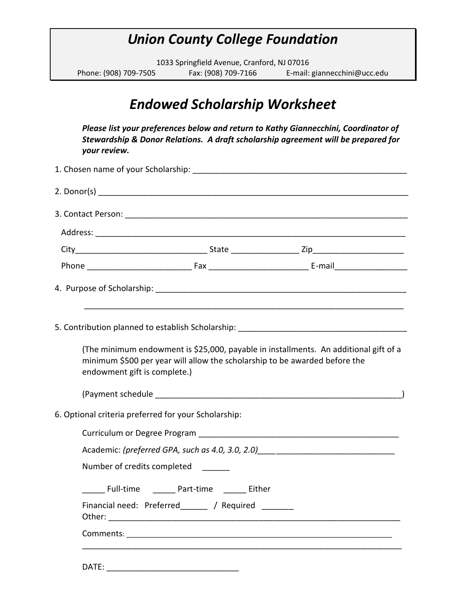# *Union County College Foundation*

1033 Springfield Avenue, Cranford, NJ 07016 Phone: (908) 709-7505 Fax: (908) 709-7166 E-mail: giannecchini@ucc.edu

# *Endowed Scholarship Worksheet*

*Please list your preferences below and return to Kathy Giannecchini, Coordinator of Stewardship & Donor Relations. A draft scholarship agreement will be prepared for your review.*

| endowment gift is complete.)                         | minimum \$500 per year will allow the scholarship to be awarded before the | (The minimum endowment is \$25,000, payable in installments. An additional gift of a |  |
|------------------------------------------------------|----------------------------------------------------------------------------|--------------------------------------------------------------------------------------|--|
|                                                      |                                                                            |                                                                                      |  |
| 6. Optional criteria preferred for your Scholarship: |                                                                            |                                                                                      |  |
|                                                      |                                                                            |                                                                                      |  |
|                                                      |                                                                            | Academic: (preferred GPA, such as 4.0, 3.0, 2.0) _______________________________     |  |
|                                                      | Number of credits completed                                                |                                                                                      |  |
|                                                      | Full-time Part-time Either                                                 |                                                                                      |  |
|                                                      | Financial need: Preferred_______ / Required _______                        |                                                                                      |  |
|                                                      |                                                                            |                                                                                      |  |
|                                                      |                                                                            |                                                                                      |  |

DATE: \_\_\_\_\_\_\_\_\_\_\_\_\_\_\_\_\_\_\_\_\_\_\_\_\_\_\_\_\_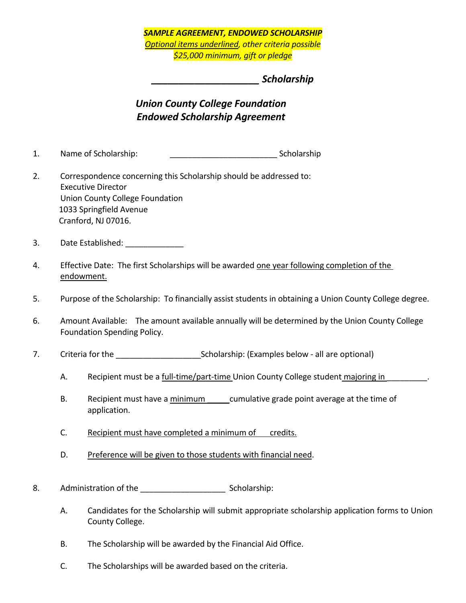### *SAMPLE AGREEMENT, ENDOWED SCHOLARSHIP Optional items underlined, other criteria possible \$25,000 minimum, gift or pledge*

### *\_\_\_\_\_\_\_\_\_\_\_\_\_\_\_\_\_\_\_\_ Scholarship*

## *Union County College Foundation Endowed Scholarship Agreement*

- 1. Name of Scholarship: example and scholarship scholarship
- 2. Correspondence concerning this Scholarship should be addressed to: Executive Director Union County College Foundation 1033 Springfield Avenue Cranford, NJ 07016.
- 3. Date Established:
- 4. Effective Date: The first Scholarships will be awarded one year following completion of the endowment.
- 5. Purpose of the Scholarship: To financially assist students in obtaining a Union County College degree.
- 6. Amount Available: The amount available annually will be determined by the Union County College Foundation Spending Policy.
- 7. Criteria for the Scholarship: (Examples below all are optional)
	- A. Recipient must be a full-time/part-time Union County College student majoring in Fig. 2.
	- B. Recipient must have a minimum cumulative grade point average at the time of application.
	- C. Recipient must have completed a minimum of credits.
	- D. Preference will be given to those students with financial need.
- 8. Administration of the example and the scholarship:
	- A. Candidates for the Scholarship will submit appropriate scholarship application forms to Union County College.
	- B. The Scholarship will be awarded by the Financial Aid Office.
	- C. The Scholarships will be awarded based on the criteria.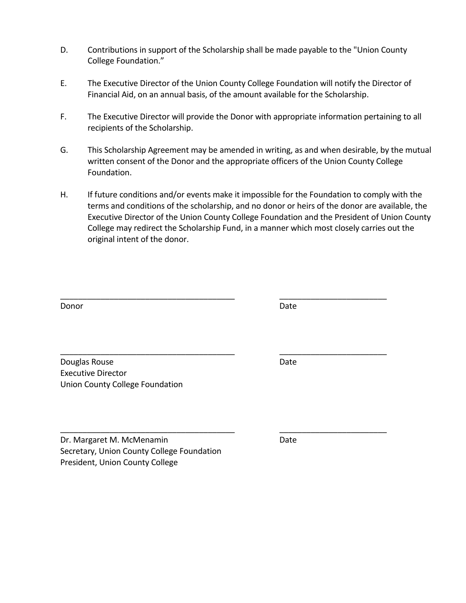- D. Contributions in support of the Scholarship shall be made payable to the "Union County College Foundation."
- E. The Executive Director of the Union County College Foundation will notify the Director of Financial Aid, on an annual basis, of the amount available for the Scholarship.
- F. The Executive Director will provide the Donor with appropriate information pertaining to all recipients of the Scholarship.
- G. This Scholarship Agreement may be amended in writing, as and when desirable, by the mutual written consent of the Donor and the appropriate officers of the Union County College Foundation.
- H. If future conditions and/or events make it impossible for the Foundation to comply with the terms and conditions of the scholarship, and no donor or heirs of the donor are available, the Executive Director of the Union County College Foundation and the President of Union County College may redirect the Scholarship Fund, in a manner which most closely carries out the original intent of the donor.

\_\_\_\_\_\_\_\_\_\_\_\_\_\_\_\_\_\_\_\_\_\_\_\_\_\_\_\_\_\_\_\_\_\_\_\_\_\_\_ \_\_\_\_\_\_\_\_\_\_\_\_\_\_\_\_\_\_\_\_\_\_\_\_

\_\_\_\_\_\_\_\_\_\_\_\_\_\_\_\_\_\_\_\_\_\_\_\_\_\_\_\_\_\_\_\_\_\_\_\_\_\_\_ \_\_\_\_\_\_\_\_\_\_\_\_\_\_\_\_\_\_\_\_\_\_\_\_

\_\_\_\_\_\_\_\_\_\_\_\_\_\_\_\_\_\_\_\_\_\_\_\_\_\_\_\_\_\_\_\_\_\_\_\_\_\_\_ \_\_\_\_\_\_\_\_\_\_\_\_\_\_\_\_\_\_\_\_\_\_\_\_

Donor **Donor** Date **Donor** Date **Date** 

Douglas Rouse **Date** Date Date Date Executive Director Union County College Foundation

Dr. Margaret M. McMenamin Date Secretary, Union County College Foundation President, Union County College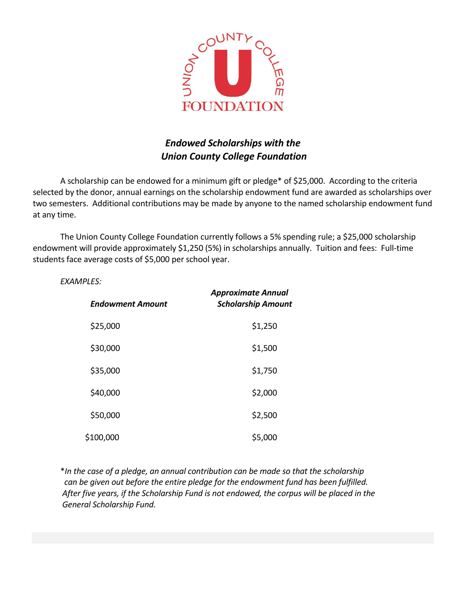

## *Endowed Scholarships with the Union County College Foundation*

A scholarship can be endowed for a minimum gift or pledge\* of \$25,000. According to the criteria selected by the donor, annual earnings on the scholarship endowment fund are awarded as scholarships over two semesters. Additional contributions may be made by anyone to the named scholarship endowment fund at any time.

The Union County College Foundation currently follows a 5% spending rule; a \$25,000 scholarship endowment will provide approximately \$1,250 (5%) in scholarships annually. Tuition and fees: Full-time students face average costs of \$5,000 per school year.

*EXAMPLES:*

| <b>Endowment Amount</b> | <b>Approximate Annual</b><br><b>Scholarship Amount</b> |
|-------------------------|--------------------------------------------------------|
| \$25,000                | \$1,250                                                |
| \$30,000                | \$1,500                                                |
| \$35,000                | \$1,750                                                |
| \$40,000                | \$2,000                                                |
| \$50,000                | \$2,500                                                |
| \$100,000               | \$5,000                                                |

\**In the case of a pledge, an annual contribution can be made so that the scholarship can be given out before the entire pledge for the endowment fund has been fulfilled. After five years, if the Scholarship Fund is not endowed, the corpus will be placed in the General Scholarship Fund.*